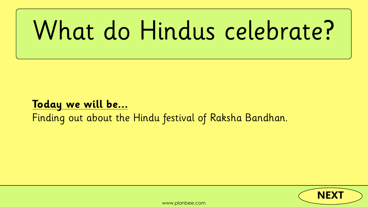# <span id="page-0-0"></span>What do Hindus celebrate?

### **Today we will be...** Finding out about the Hindu festival of Raksha Bandhan.

[www.planbee.com](http://www.planbee.com)



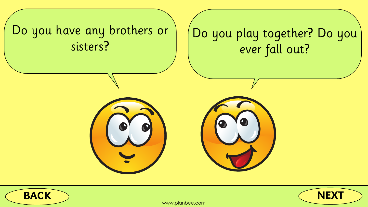





## <span id="page-1-0"></span>Do you have any brothers or



### ve any brothers or | | | Do you play together? Do you ever fall out?



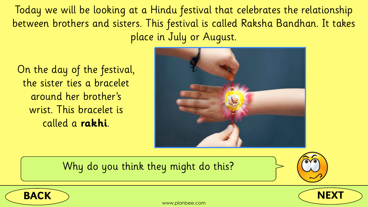



<span id="page-2-0"></span>Today we will be looking at a Hindu festival that celebrates the relationship between brothers and sisters. This festival is called Raksha Bandhan. It takes place in July or August.

On the day of the festival, the sister ties a bracelet around her brother's wrist. This bracelet is called a **rakhi**.

### Why do you think they might do this?





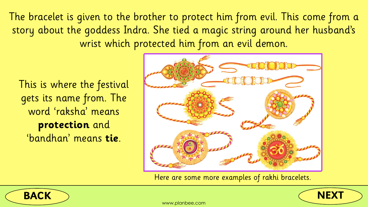



<span id="page-3-0"></span>The bracelet is given to the brother to protect him from evil. This come from a story about the goddess Indra. She tied a magic string around her husband's wrist which protected him from an evil demon.

This is where the festival gets its name from. The word 'raksha' means **protection** and 'bandhan' means **tie**.



Here are some more examples of rakhi bracelets.

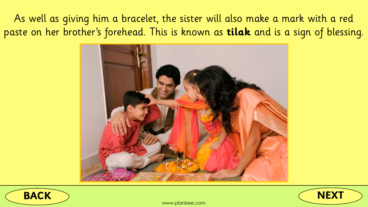



### <span id="page-4-0"></span>As well as giving him a bracelet, the sister will also make a mark with a red paste on her brother's forehead. This is known as **tilak** and is a sign of blessing.

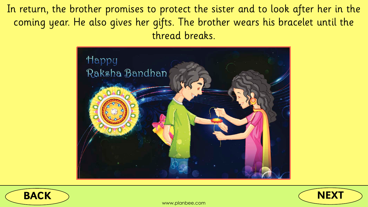





<span id="page-5-0"></span>In return, the brother promises to protect the sister and to look after her in the coming year. He also gives her gifts. The brother wears his bracelet until the thread breaks.

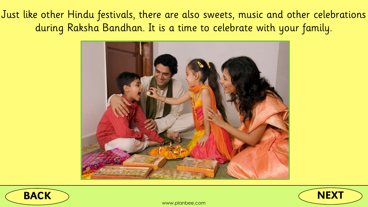





<span id="page-6-0"></span>Just like other Hindu festivals, there are also sweets, music and other celebrations during Raksha Bandhan. It is a time to celebrate with your family.

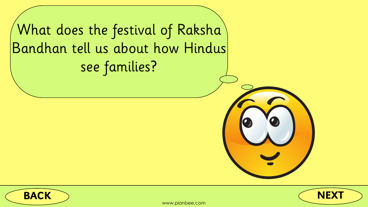







## <span id="page-7-0"></span>What does the festival of Raksha Bandhan tell us about how Hindus see families?